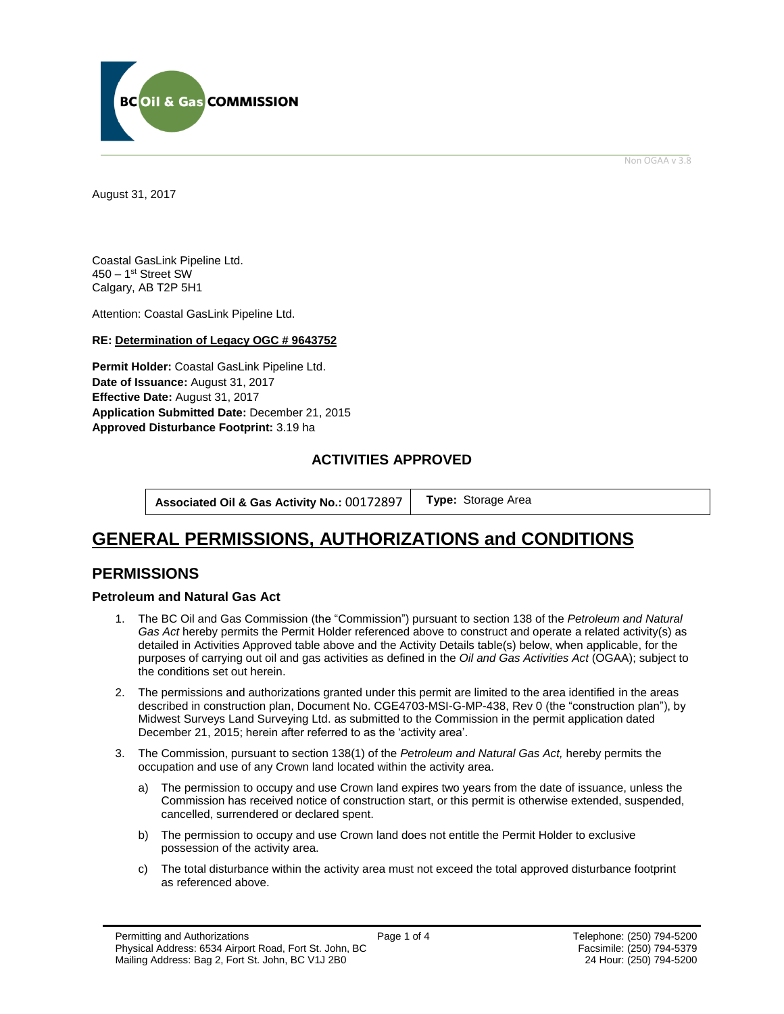

Non OGAA v 3.8

<span id="page-0-0"></span>August 31, 2017

Coastal GasLink Pipeline Ltd. 450 – 1st Street SW Calgary, AB T2P 5H1

Attention: Coastal GasLink Pipeline Ltd.

#### **RE: Determination of Legacy OGC # 9643752**

**Permit Holder:** Coastal GasLink Pipeline Ltd. **Date of Issuance:** August 31, 2017 **Effective Date:** August 31, 2017 **Application Submitted Date:** December 21, 2015 **[Approved Disturbance Footprint:](#page-0-0)** 3.19 ha

### **ACTIVITIES APPROVED**

**Associated Oil & Gas Activity No.:** 00172897 **[Type:](https://bi.bcogc.ca/Application%20Processing/Interactive%20Reports/(BIL-041)%20AMS%20Decision%20Summary.aspx)** Storage Area

# **GENERAL [PERMISSIONS,](#page-0-0) AUTHORIZATIONS and CONDITIONS**

### **PERMISSIONS**

#### **Petroleum and Natural Gas Act**

- 1. The BC Oil and Gas Commission (the "Commission") pursuant to section 138 of the *Petroleum and Natural Gas Act* hereby permits the Permit Holder referenced above to construct and operate a related activity(s) as detailed in Activities Approved table above and the Activity Details table(s) below, when applicable, for the purposes of carrying out oil and gas activities as defined in the *Oil and Gas Activities Act* (OGAA); subject to the conditions set out herein.
- 2. The permissions and authorizations granted under this permit are limited to the area identified in the areas described in construction plan, Document No. CGE4703-MSI-G-MP-438, Rev 0 (the "construction plan"), by Midwest Surveys Land Surveying Ltd. as submitted to the Commission in the permit application dated December 21, 2015; herein after referred to as the 'activity area'.
- 3. The Commission, pursuant to section 138(1) of the *Petroleum and Natural Gas Act,* hereby permits the occupation and use of any Crown land located within the activity area.
	- a) The permission to occupy and use Crown land expires two years from the date of issuance, unless the Commission has received notice of construction start, or this permit is otherwise extended, suspended, cancelled, surrendered or declared spent.
	- b) The permission to occupy and use Crown land does not entitle the Permit Holder to exclusive possession of the activity area.
	- c) The total disturbance within the activity area must not exceed the total approved disturbance footprint as referenced above.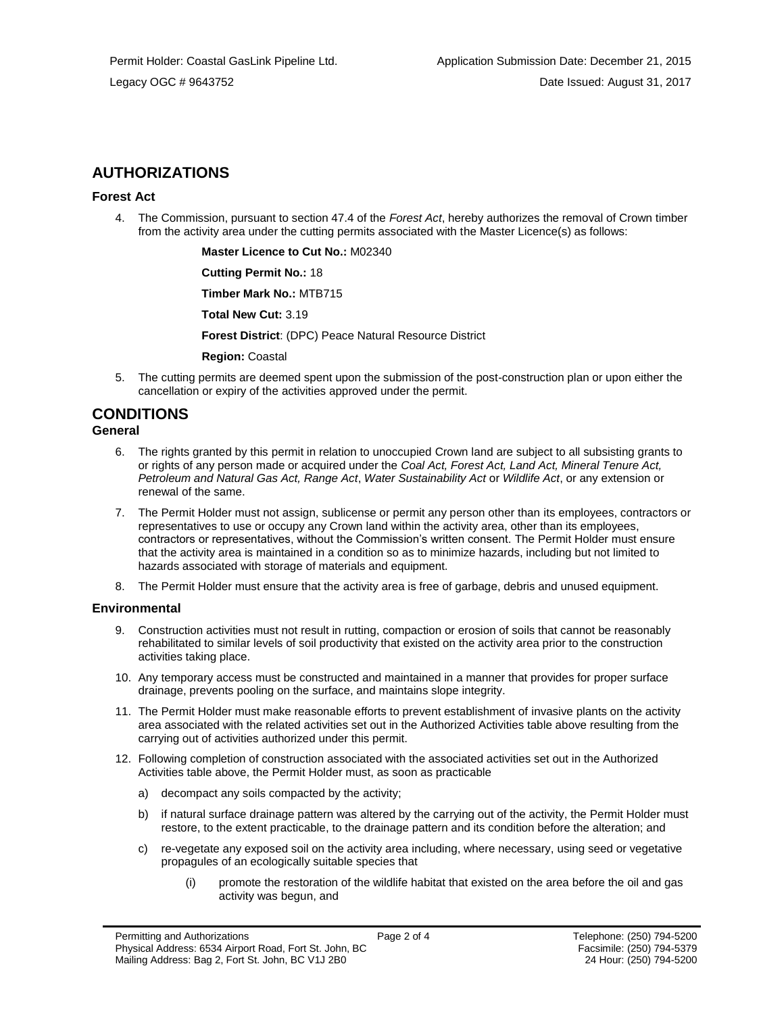## **AUTHORIZATIONS**

#### **Forest Act**

4. The Commission, pursuant to section 47.4 of the *Forest Act*, hereby authorizes the removal of Crown timber from the activity area under the cutting permits associated with the Master Licence(s) as follows:

**Master Licence to Cut No.:** M02340

**Cutting Permit No.:** 18

**Timber Mark No.:** MTB715

**Total New Cut:** 3.19

**[Forest District](https://ams-crd.bcogc.ca/crd/)**: (DPC) Peace Natural Resource District

**Region:** Coastal

5. The cutting permits are deemed spent upon the submission of the post-construction plan or upon either the cancellation or expiry of the activities [approve](#page-0-0)d under the permit.

## **CONDITIONS**

#### **General**

- 6. The rights granted by this permit in relation to unoccupied Crown land are subject to all subsisting grants to or rights of any person made or acquired under the *Coal Act, Forest Act, Land Act, Mineral Tenure Act, Petroleum and Natural Gas Act, Range Act*, *Water Sustainability Act* or *Wildlife Act*, or any extension or renewal of the same.
- 7. The Permit Holder must not assign, sublicense or permit any person other than its employees, contractors or representatives to use or occupy any Crown land within the activity area, other than its employees, contractors or representatives, without the Commission's written consent. The Permit Holder must ensure that the activity area is maintained in a condition so as to minimize hazards, including but not limited to hazards associated with storage of materials and equipment.
- 8. The Permit Holder must ensure that the activity area is free of garbage, debris and unused equipment.

#### **Environmental**

- 9. Construction activities must not result in rutting, compaction or erosion of soils that cannot be reasonably rehabilitated to similar levels of soil productivity that existed on the activity area prior to the construction activities taking place.
- 10. Any temporary access must be constructed and maintained in a manner that provides for proper surface drainage, prevents pooling on the surface, and maintains slope integrity.
- 11. The Permit Holder must make reasonable efforts to prevent establishment of invasive plants on the activity area associated with the related activities set out in the Authorized Activities table above resulting from the carrying out of activities authorized under this permit.
- 12. Following completion of construction associated with the associated activities set out in the Authorized Activities table above, the Permit Holder must, as soon as practicable
	- a) decompact any soils compacted by the activity;
	- b) if natural surface drainage pattern was altered by the carrying out of the activity, the Permit Holder must restore, to the extent practicable, to the drainage pattern and its condition before the alteration; and
	- c) re-vegetate any exposed soil on the activity area including, where necessary, using seed or vegetative propagules of an ecologically suitable species that
		- (i) promote the restoration of the wildlife habitat that existed on the area before the oil and gas activity was begun, and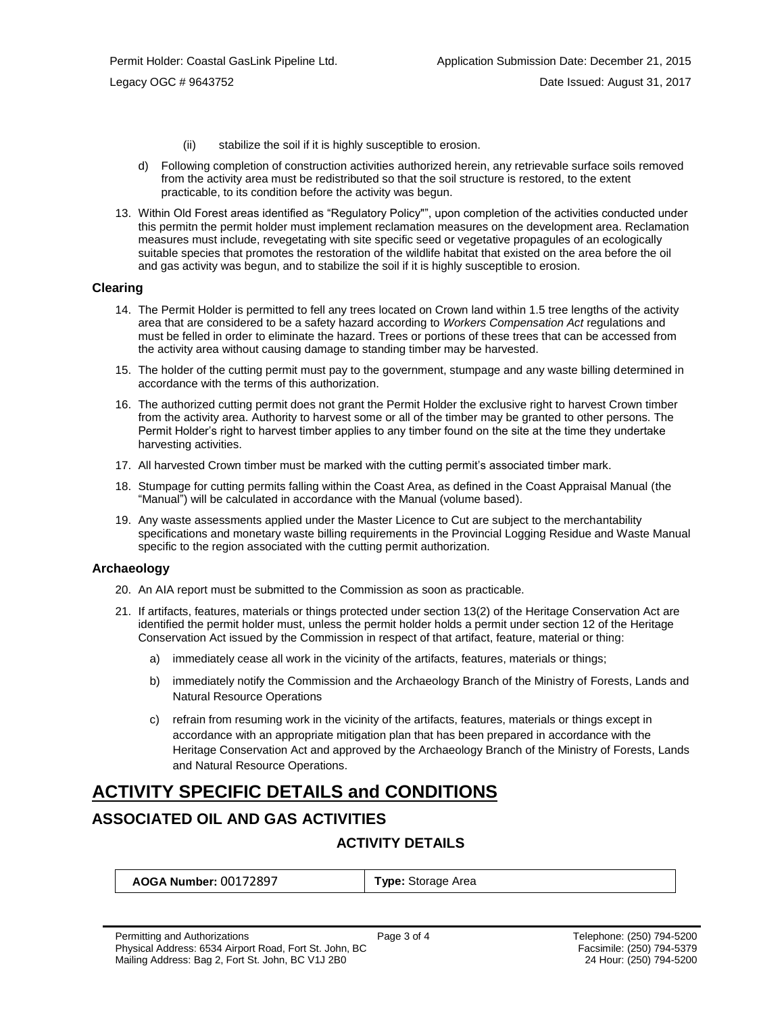- (ii) stabilize the soil if it is highly susceptible to erosion.
- d) Following completion of construction activities authorized herein, any retrievable surface soils removed from the activity area must be redistributed so that the soil structure is restored, to the extent practicable, to its condition before the activity was begun.
- 13. Within Old Forest areas identified as "Regulatory Policy"", upon completion of the activities conducted under this permitn the permit holder must implement reclamation measures on the development area. Reclamation measures must include, revegetating with site specific seed or vegetative propagules of an ecologically suitable species that promotes the restoration of the wildlife habitat that existed on the area before the oil and gas activity was begun, and to stabilize the soil if it is highly susceptible to erosion.

#### **Clearing**

- 14. The Permit Holder is permitted to fell any trees located on Crown land within 1.5 tree lengths of the activity area that are considered to be a safety hazard according to *Workers Compensation Act* regulations and must be felled in order to eliminate the hazard. Trees or portions of these trees that can be accessed from the activity area without causing damage to standing timber may be harvested.
- 15. The holder of the cutting permit must pay to the government, stumpage and any waste billing determined in accordance with the terms of this authorization.
- 16. The authorized cutting permit does not grant the Permit Holder the exclusive right to harvest Crown timber from the activity area. Authority to harvest some or all of the timber may be granted to other persons. The Permit Holder's right to harvest timber applies to any timber found on the site at the time they undertake harvesting activities.
- 17. All harvested Crown timber must be marked with the cutting permit's associated timber mark.
- 18. Stumpage for cutting permits falling within the Coast Area, as defined in the Coast Appraisal Manual (the "Manual") will be calculated in accordance with the Manual (volume based).
- 19. Any waste assessments applied under the Master Licence to Cut are subject to the merchantability specifications and monetary waste billing requirements in the Provincial Logging Residue and Waste Manual specific to the region associated with the cutting permit authorization.

#### **Archaeology**

- 20. An AIA report must be submitted to the Commission as soon as practicable.
- 21. If artifacts, features, materials or things protected under section 13(2) of the Heritage Conservation Act are identified the permit holder must, unless the permit holder holds a permit under section 12 of the Heritage Conservation Act issued by the Commission in respect of that artifact, feature, material or thing:
	- a) immediately cease all work in the vicinity of the artifacts, features, materials or things;
	- b) immediately notify the Commission and the Archaeology Branch of the Ministry of Forests, Lands and Natural Resource Operations
	- c) refrain from resuming work in the vicinity of the artifacts, features, materials or things except in accordance with an appropriate mitigation plan that has been prepared in accordance with the Heritage Conservation Act and approved by the Archaeology Branch of the Ministry of Forests, Lands and Natural Resource Operations.

# **ACTIVITY SPECIFIC DETAILS and CONDITIONS**

## **ASSOCIATED OIL AND GAS ACTIVITIES**

### **ACTIVITY DETAILS**

| <b>AOGA Number: 00172897</b> |  |  |  |
|------------------------------|--|--|--|
|------------------------------|--|--|--|

**[Type:](https://bi.bcogc.ca/Application%20Processing/Interactive%20Reports/(BIL-041)%20AMS%20Decision%20Summary.aspx)** Storage Area